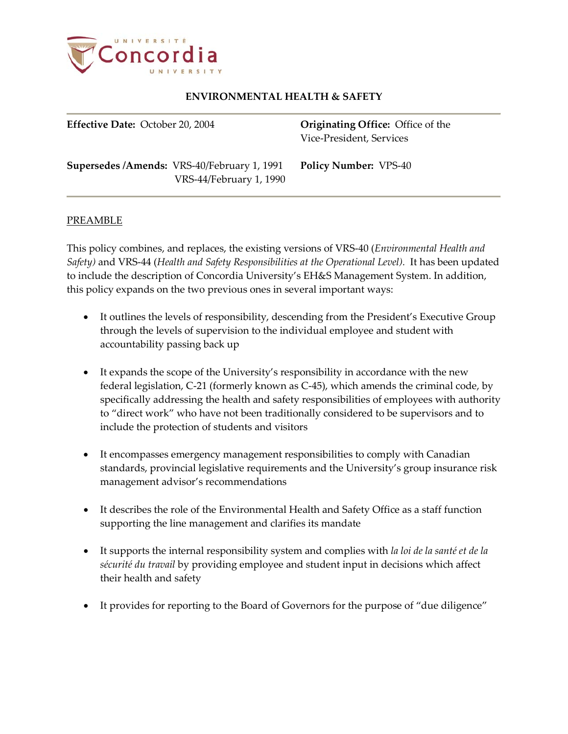

**Effective Date:** October 20, 2004 **Originating Office:** Office of the Vice-President, Services

**Supersedes /Amends:** VRS-40/February 1, 1991 **Policy Number:** VPS-40 VRS-44/February 1, 1990

### PREAMBLE

This policy combines, and replaces, the existing versions of VRS-40 (*Environmental Health and Safety)* and VRS-44 (*Health and Safety Responsibilities at the Operational Level).* It has been updated to include the description of Concordia University's EH&S Management System. In addition, this policy expands on the two previous ones in several important ways:

- It outlines the levels of responsibility, descending from the President's Executive Group through the levels of supervision to the individual employee and student with accountability passing back up
- It expands the scope of the University's responsibility in accordance with the new federal legislation, C-21 (formerly known as C-45), which amends the criminal code, by specifically addressing the health and safety responsibilities of employees with authority to "direct work" who have not been traditionally considered to be supervisors and to include the protection of students and visitors
- It encompasses emergency management responsibilities to comply with Canadian standards, provincial legislative requirements and the University's group insurance risk management advisor's recommendations
- It describes the role of the Environmental Health and Safety Office as a staff function supporting the line management and clarifies its mandate
- It supports the internal responsibility system and complies with *la loi de la santé et de la sécurité du travail* by providing employee and student input in decisions which affect their health and safety
- It provides for reporting to the Board of Governors for the purpose of "due diligence"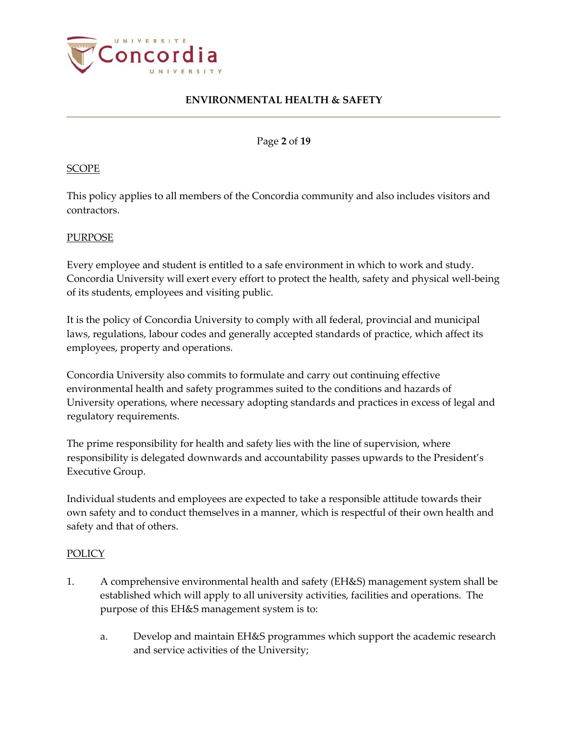

Page **2** of **19**

### SCOPE

This policy applies to all members of the Concordia community and also includes visitors and contractors.

## PURPOSE

Every employee and student is entitled to a safe environment in which to work and study. Concordia University will exert every effort to protect the health, safety and physical well-being of its students, employees and visiting public.

It is the policy of Concordia University to comply with all federal, provincial and municipal laws, regulations, labour codes and generally accepted standards of practice, which affect its employees, property and operations.

Concordia University also commits to formulate and carry out continuing effective environmental health and safety programmes suited to the conditions and hazards of University operations, where necessary adopting standards and practices in excess of legal and regulatory requirements.

The prime responsibility for health and safety lies with the line of supervision, where responsibility is delegated downwards and accountability passes upwards to the President's Executive Group.

Individual students and employees are expected to take a responsible attitude towards their own safety and to conduct themselves in a manner, which is respectful of their own health and safety and that of others.

## POLICY

- 1. A comprehensive environmental health and safety (EH&S) management system shall be established which will apply to all university activities, facilities and operations. The purpose of this EH&S management system is to:
	- a. Develop and maintain EH&S programmes which support the academic research and service activities of the University;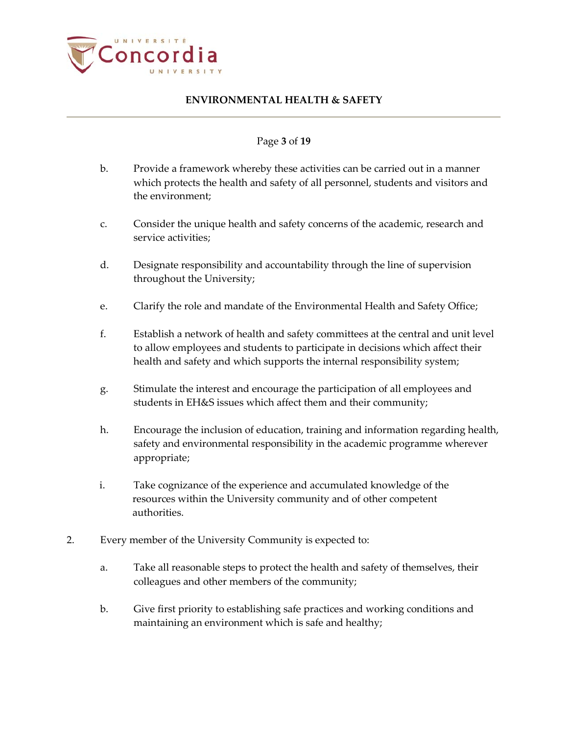

#### Page **3** of **19**

- b. Provide a framework whereby these activities can be carried out in a manner which protects the health and safety of all personnel, students and visitors and the environment;
- c. Consider the unique health and safety concerns of the academic, research and service activities;
- d. Designate responsibility and accountability through the line of supervision throughout the University;
- e. Clarify the role and mandate of the Environmental Health and Safety Office;
- f. Establish a network of health and safety committees at the central and unit level to allow employees and students to participate in decisions which affect their health and safety and which supports the internal responsibility system;
- g. Stimulate the interest and encourage the participation of all employees and students in EH&S issues which affect them and their community;
- h. Encourage the inclusion of education, training and information regarding health, safety and environmental responsibility in the academic programme wherever appropriate;
- i. Take cognizance of the experience and accumulated knowledge of the resources within the University community and of other competent authorities.
- 2. Every member of the University Community is expected to:
	- a. Take all reasonable steps to protect the health and safety of themselves, their colleagues and other members of the community;
	- b. Give first priority to establishing safe practices and working conditions and maintaining an environment which is safe and healthy;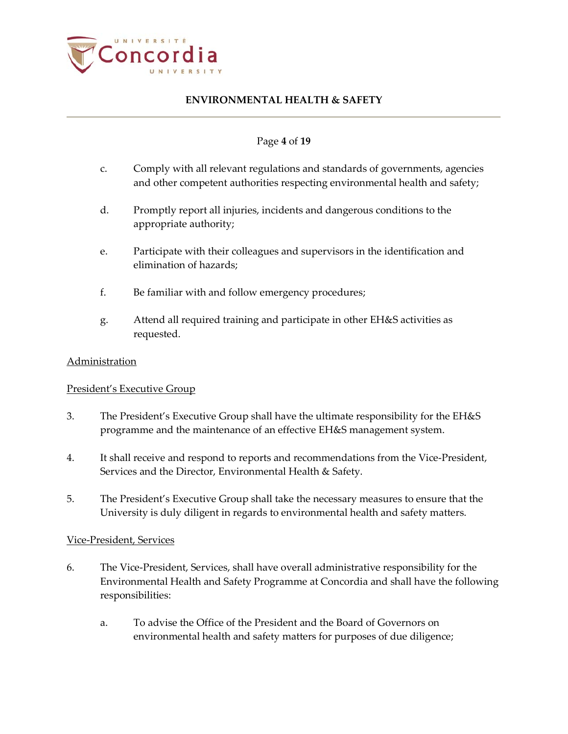

### Page **4** of **19**

- c. Comply with all relevant regulations and standards of governments, agencies and other competent authorities respecting environmental health and safety;
- d. Promptly report all injuries, incidents and dangerous conditions to the appropriate authority;
- e. Participate with their colleagues and supervisors in the identification and elimination of hazards;
- f. Be familiar with and follow emergency procedures;
- g. Attend all required training and participate in other EH&S activities as requested.

### Administration

### President's Executive Group

- 3. The President's Executive Group shall have the ultimate responsibility for the EH&S programme and the maintenance of an effective EH&S management system.
- 4. It shall receive and respond to reports and recommendations from the Vice-President, Services and the Director, Environmental Health & Safety.
- 5. The President's Executive Group shall take the necessary measures to ensure that the University is duly diligent in regards to environmental health and safety matters.

### Vice-President, Services

- 6. The Vice-President, Services, shall have overall administrative responsibility for the Environmental Health and Safety Programme at Concordia and shall have the following responsibilities:
	- a. To advise the Office of the President and the Board of Governors on environmental health and safety matters for purposes of due diligence;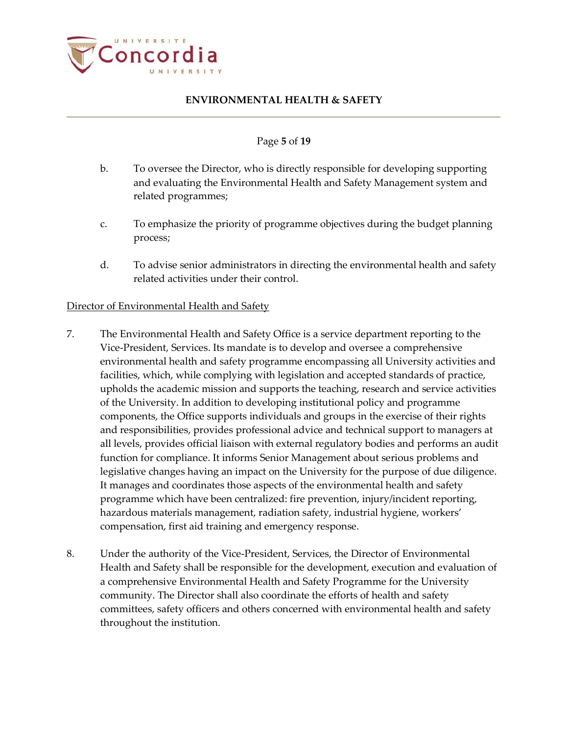

### Page **5** of **19**

- b. To oversee the Director, who is directly responsible for developing supporting and evaluating the Environmental Health and Safety Management system and related programmes;
- c. To emphasize the priority of programme objectives during the budget planning process;
- d. To advise senior administrators in directing the environmental health and safety related activities under their control.

#### Director of Environmental Health and Safety

- 7. The Environmental Health and Safety Office is a service department reporting to the Vice-President, Services. Its mandate is to develop and oversee a comprehensive environmental health and safety programme encompassing all University activities and facilities, which, while complying with legislation and accepted standards of practice, upholds the academic mission and supports the teaching, research and service activities of the University. In addition to developing institutional policy and programme components, the Office supports individuals and groups in the exercise of their rights and responsibilities, provides professional advice and technical support to managers at all levels, provides official liaison with external regulatory bodies and performs an audit function for compliance. It informs Senior Management about serious problems and legislative changes having an impact on the University for the purpose of due diligence. It manages and coordinates those aspects of the environmental health and safety programme which have been centralized: fire prevention, injury/incident reporting, hazardous materials management, radiation safety, industrial hygiene, workers' compensation, first aid training and emergency response.
- 8. Under the authority of the Vice-President, Services, the Director of Environmental Health and Safety shall be responsible for the development, execution and evaluation of a comprehensive Environmental Health and Safety Programme for the University community. The Director shall also coordinate the efforts of health and safety committees, safety officers and others concerned with environmental health and safety throughout the institution.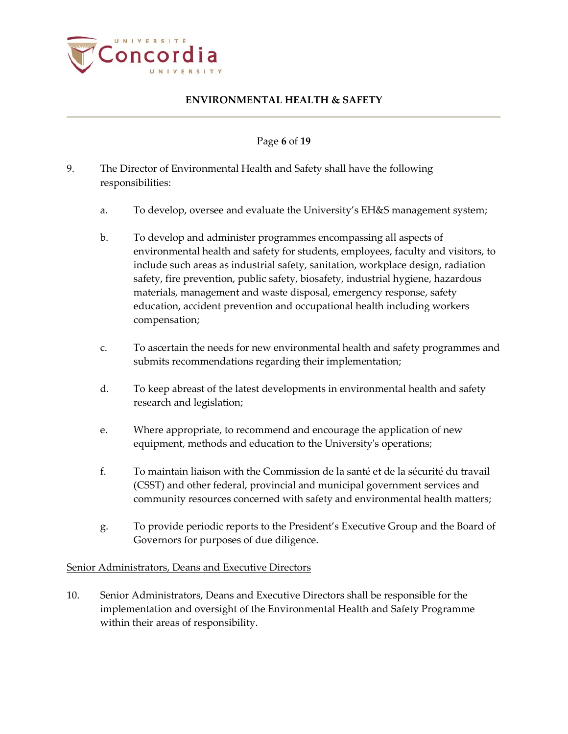

### Page **6** of **19**

- 9. The Director of Environmental Health and Safety shall have the following responsibilities:
	- a. To develop, oversee and evaluate the University's EH&S management system;
	- b. To develop and administer programmes encompassing all aspects of environmental health and safety for students, employees, faculty and visitors, to include such areas as industrial safety, sanitation, workplace design, radiation safety, fire prevention, public safety, biosafety, industrial hygiene, hazardous materials, management and waste disposal, emergency response, safety education, accident prevention and occupational health including workers compensation;
	- c. To ascertain the needs for new environmental health and safety programmes and submits recommendations regarding their implementation;
	- d. To keep abreast of the latest developments in environmental health and safety research and legislation;
	- e. Where appropriate, to recommend and encourage the application of new equipment, methods and education to the University's operations;
	- f. To maintain liaison with the Commission de la santé et de la sécurité du travail (CSST) and other federal, provincial and municipal government services and community resources concerned with safety and environmental health matters;
	- g. To provide periodic reports to the President's Executive Group and the Board of Governors for purposes of due diligence.

### Senior Administrators, Deans and Executive Directors

10. Senior Administrators, Deans and Executive Directors shall be responsible for the implementation and oversight of the Environmental Health and Safety Programme within their areas of responsibility.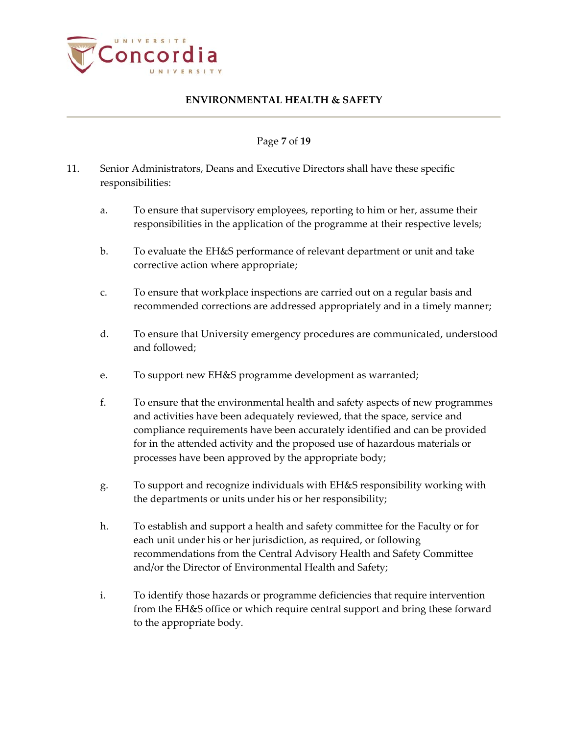

### Page **7** of **19**

- 11. Senior Administrators, Deans and Executive Directors shall have these specific responsibilities:
	- a. To ensure that supervisory employees, reporting to him or her, assume their responsibilities in the application of the programme at their respective levels;
	- b. To evaluate the EH&S performance of relevant department or unit and take corrective action where appropriate;
	- c. To ensure that workplace inspections are carried out on a regular basis and recommended corrections are addressed appropriately and in a timely manner;
	- d. To ensure that University emergency procedures are communicated, understood and followed;
	- e. To support new EH&S programme development as warranted;
	- f. To ensure that the environmental health and safety aspects of new programmes and activities have been adequately reviewed, that the space, service and compliance requirements have been accurately identified and can be provided for in the attended activity and the proposed use of hazardous materials or processes have been approved by the appropriate body;
	- g. To support and recognize individuals with EH&S responsibility working with the departments or units under his or her responsibility;
	- h. To establish and support a health and safety committee for the Faculty or for each unit under his or her jurisdiction, as required, or following recommendations from the Central Advisory Health and Safety Committee and/or the Director of Environmental Health and Safety;
	- i. To identify those hazards or programme deficiencies that require intervention from the EH&S office or which require central support and bring these forward to the appropriate body.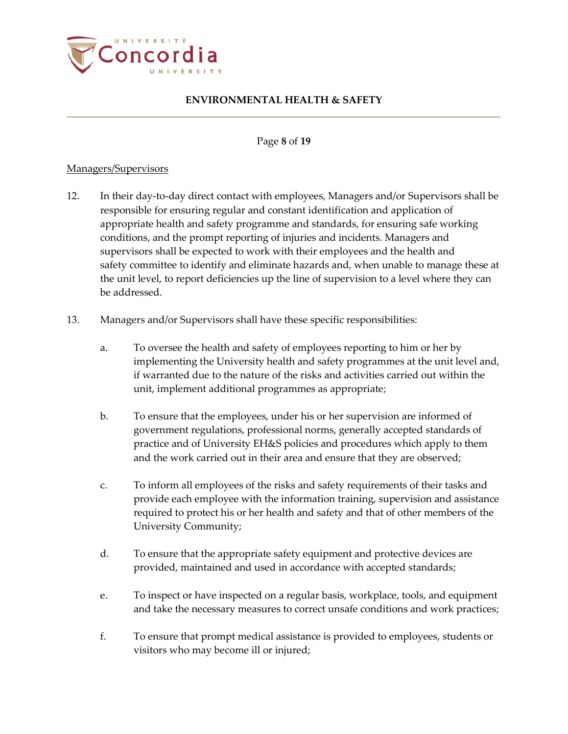

#### Page **8** of **19**

#### Managers/Supervisors

- 12. In their day-to-day direct contact with employees, Managers and/or Supervisors shall be responsible for ensuring regular and constant identification and application of appropriate health and safety programme and standards, for ensuring safe working conditions, and the prompt reporting of injuries and incidents. Managers and supervisors shall be expected to work with their employees and the health and safety committee to identify and eliminate hazards and, when unable to manage these at the unit level, to report deficiencies up the line of supervision to a level where they can be addressed.
- 13. Managers and/or Supervisors shall have these specific responsibilities:
	- a. To oversee the health and safety of employees reporting to him or her by implementing the University health and safety programmes at the unit level and, if warranted due to the nature of the risks and activities carried out within the unit, implement additional programmes as appropriate;
	- b. To ensure that the employees, under his or her supervision are informed of government regulations, professional norms, generally accepted standards of practice and of University EH&S policies and procedures which apply to them and the work carried out in their area and ensure that they are observed;
	- c. To inform all employees of the risks and safety requirements of their tasks and provide each employee with the information training, supervision and assistance required to protect his or her health and safety and that of other members of the University Community;
	- d. To ensure that the appropriate safety equipment and protective devices are provided, maintained and used in accordance with accepted standards;
	- e. To inspect or have inspected on a regular basis, workplace, tools, and equipment and take the necessary measures to correct unsafe conditions and work practices;
	- f. To ensure that prompt medical assistance is provided to employees, students or visitors who may become ill or injured;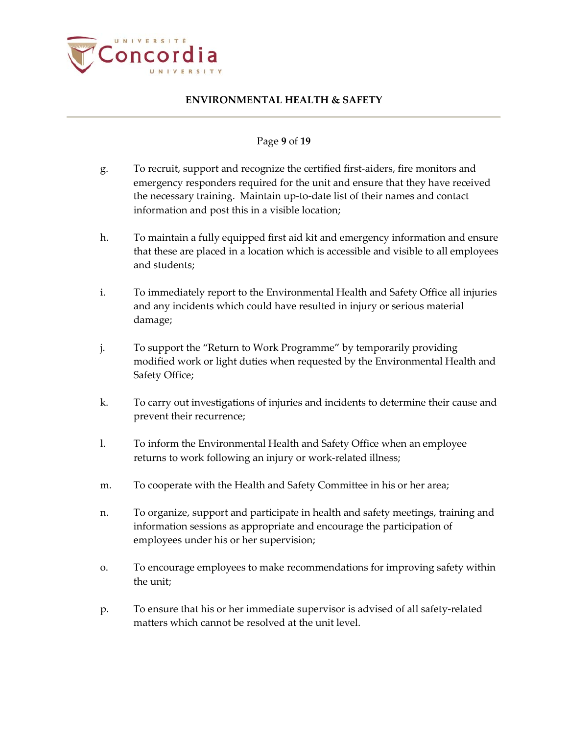

### Page **9** of **19**

- g. To recruit, support and recognize the certified first-aiders, fire monitors and emergency responders required for the unit and ensure that they have received the necessary training. Maintain up-to-date list of their names and contact information and post this in a visible location;
- h. To maintain a fully equipped first aid kit and emergency information and ensure that these are placed in a location which is accessible and visible to all employees and students;
- i. To immediately report to the Environmental Health and Safety Office all injuries and any incidents which could have resulted in injury or serious material damage;
- j. To support the "Return to Work Programme" by temporarily providing modified work or light duties when requested by the Environmental Health and Safety Office;
- k. To carry out investigations of injuries and incidents to determine their cause and prevent their recurrence;
- l. To inform the Environmental Health and Safety Office when an employee returns to work following an injury or work-related illness;
- m. To cooperate with the Health and Safety Committee in his or her area;
- n. To organize, support and participate in health and safety meetings, training and information sessions as appropriate and encourage the participation of employees under his or her supervision;
- o. To encourage employees to make recommendations for improving safety within the unit;
- p. To ensure that his or her immediate supervisor is advised of all safety-related matters which cannot be resolved at the unit level.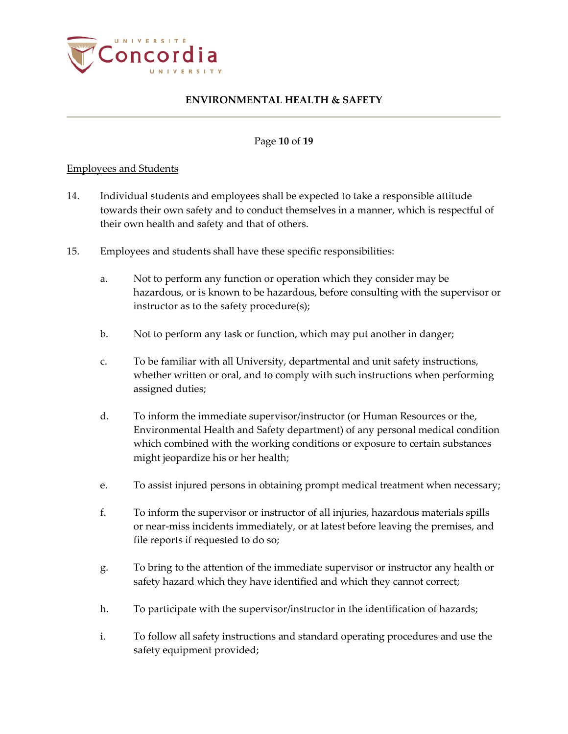

#### Page **10** of **19**

### Employees and Students

- 14. Individual students and employees shall be expected to take a responsible attitude towards their own safety and to conduct themselves in a manner, which is respectful of their own health and safety and that of others.
- 15. Employees and students shall have these specific responsibilities:
	- a. Not to perform any function or operation which they consider may be hazardous, or is known to be hazardous, before consulting with the supervisor or instructor as to the safety procedure(s);
	- b. Not to perform any task or function, which may put another in danger;
	- c. To be familiar with all University, departmental and unit safety instructions, whether written or oral, and to comply with such instructions when performing assigned duties;
	- d. To inform the immediate supervisor/instructor (or Human Resources or the, Environmental Health and Safety department) of any personal medical condition which combined with the working conditions or exposure to certain substances might jeopardize his or her health;
	- e. To assist injured persons in obtaining prompt medical treatment when necessary;
	- f. To inform the supervisor or instructor of all injuries, hazardous materials spills or near-miss incidents immediately, or at latest before leaving the premises, and file reports if requested to do so;
	- g. To bring to the attention of the immediate supervisor or instructor any health or safety hazard which they have identified and which they cannot correct;
	- h. To participate with the supervisor/instructor in the identification of hazards;
	- i. To follow all safety instructions and standard operating procedures and use the safety equipment provided;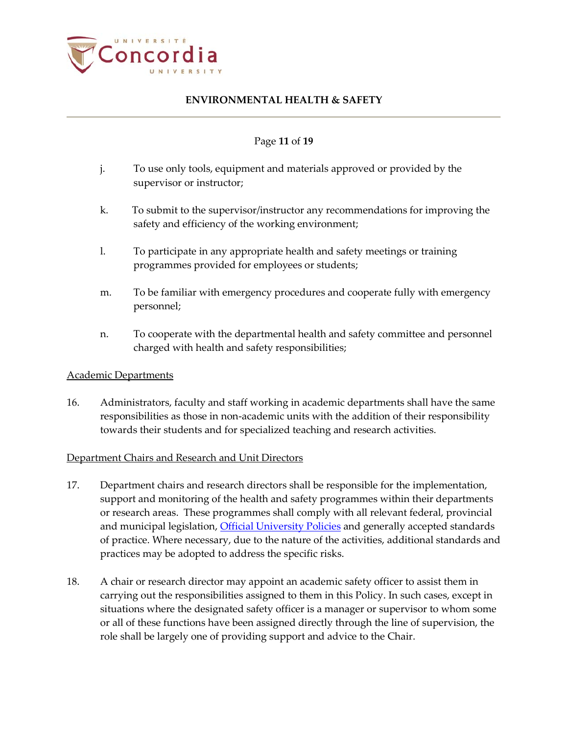

### Page **11** of **19**

- j. To use only tools, equipment and materials approved or provided by the supervisor or instructor;
- k. To submit to the supervisor/instructor any recommendations for improving the safety and efficiency of the working environment;
- l. To participate in any appropriate health and safety meetings or training programmes provided for employees or students;
- m. To be familiar with emergency procedures and cooperate fully with emergency personnel;
- n. To cooperate with the departmental health and safety committee and personnel charged with health and safety responsibilities;

### Academic Departments

16. Administrators, faculty and staff working in academic departments shall have the same responsibilities as those in non-academic units with the addition of their responsibility towards their students and for specialized teaching and research activities.

### Department Chairs and Research and Unit Directors

- 17. Department chairs and research directors shall be responsible for the implementation, support and monitoring of the health and safety programmes within their departments or research areas. These programmes shall comply with all relevant federal, provincial and municipal legislation, [Official University Policies](http://secretariat.concordia.ca/policies/) and generally accepted standards of practice. Where necessary, due to the nature of the activities, additional standards and practices may be adopted to address the specific risks.
- 18. A chair or research director may appoint an academic safety officer to assist them in carrying out the responsibilities assigned to them in this Policy. In such cases, except in situations where the designated safety officer is a manager or supervisor to whom some or all of these functions have been assigned directly through the line of supervision, the role shall be largely one of providing support and advice to the Chair.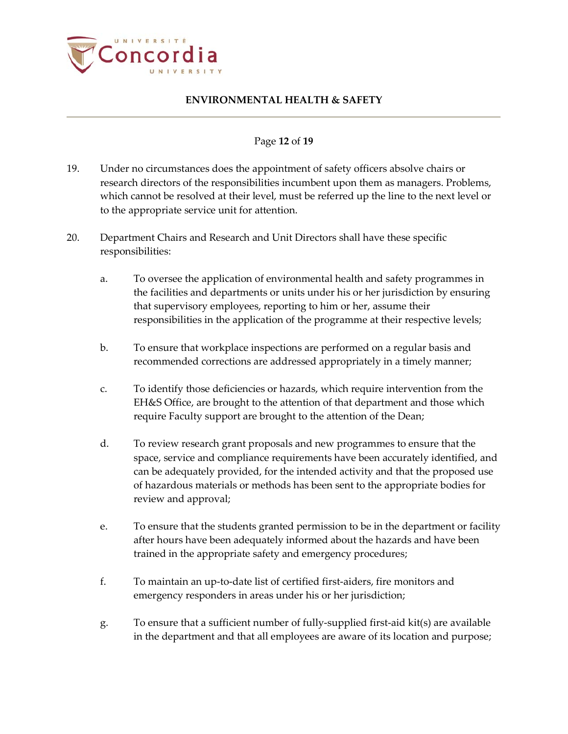

#### Page **12** of **19**

- 19. Under no circumstances does the appointment of safety officers absolve chairs or research directors of the responsibilities incumbent upon them as managers. Problems, which cannot be resolved at their level, must be referred up the line to the next level or to the appropriate service unit for attention.
- 20. Department Chairs and Research and Unit Directors shall have these specific responsibilities:
	- a. To oversee the application of environmental health and safety programmes in the facilities and departments or units under his or her jurisdiction by ensuring that supervisory employees, reporting to him or her, assume their responsibilities in the application of the programme at their respective levels;
	- b. To ensure that workplace inspections are performed on a regular basis and recommended corrections are addressed appropriately in a timely manner;
	- c. To identify those deficiencies or hazards, which require intervention from the EH&S Office, are brought to the attention of that department and those which require Faculty support are brought to the attention of the Dean;
	- d. To review research grant proposals and new programmes to ensure that the space, service and compliance requirements have been accurately identified, and can be adequately provided, for the intended activity and that the proposed use of hazardous materials or methods has been sent to the appropriate bodies for review and approval;
	- e. To ensure that the students granted permission to be in the department or facility after hours have been adequately informed about the hazards and have been trained in the appropriate safety and emergency procedures;
	- f. To maintain an up-to-date list of certified first-aiders, fire monitors and emergency responders in areas under his or her jurisdiction;
	- g. To ensure that a sufficient number of fully-supplied first-aid kit(s) are available in the department and that all employees are aware of its location and purpose;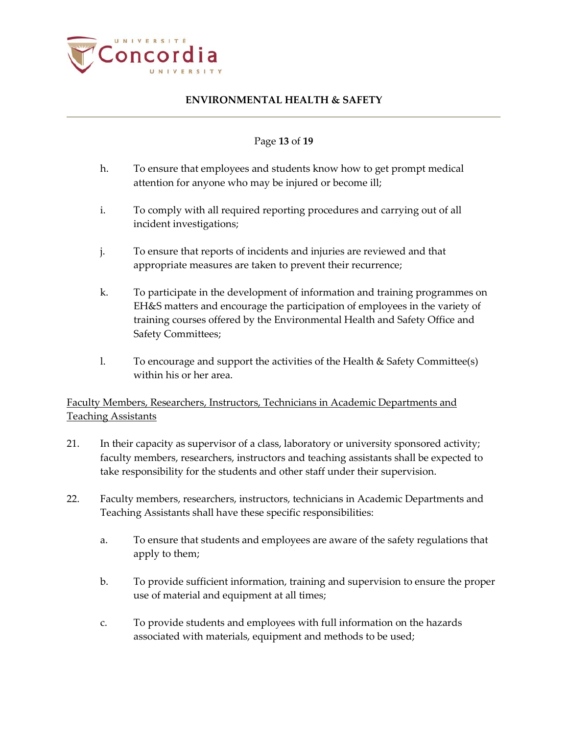

### Page **13** of **19**

- h. To ensure that employees and students know how to get prompt medical attention for anyone who may be injured or become ill;
- i. To comply with all required reporting procedures and carrying out of all incident investigations;
- j. To ensure that reports of incidents and injuries are reviewed and that appropriate measures are taken to prevent their recurrence;
- k. To participate in the development of information and training programmes on EH&S matters and encourage the participation of employees in the variety of training courses offered by the Environmental Health and Safety Office and Safety Committees;
- l. To encourage and support the activities of the Health & Safety Committee(s) within his or her area.

## Faculty Members, Researchers, Instructors, Technicians in Academic Departments and Teaching Assistants

- 21. In their capacity as supervisor of a class, laboratory or university sponsored activity; faculty members, researchers, instructors and teaching assistants shall be expected to take responsibility for the students and other staff under their supervision.
- 22. Faculty members, researchers, instructors, technicians in Academic Departments and Teaching Assistants shall have these specific responsibilities:
	- a. To ensure that students and employees are aware of the safety regulations that apply to them;
	- b. To provide sufficient information, training and supervision to ensure the proper use of material and equipment at all times;
	- c. To provide students and employees with full information on the hazards associated with materials, equipment and methods to be used;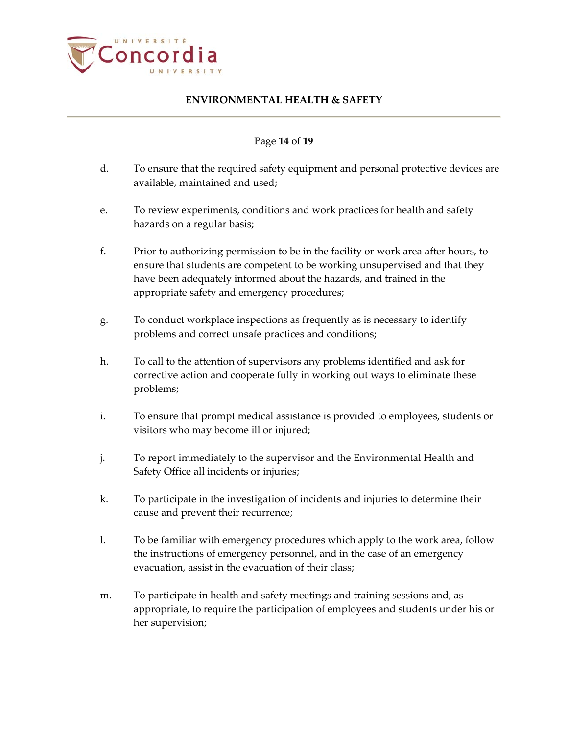

### Page **14** of **19**

- d. To ensure that the required safety equipment and personal protective devices are available, maintained and used;
- e. To review experiments, conditions and work practices for health and safety hazards on a regular basis;
- f. Prior to authorizing permission to be in the facility or work area after hours, to ensure that students are competent to be working unsupervised and that they have been adequately informed about the hazards, and trained in the appropriate safety and emergency procedures;
- g. To conduct workplace inspections as frequently as is necessary to identify problems and correct unsafe practices and conditions;
- h. To call to the attention of supervisors any problems identified and ask for corrective action and cooperate fully in working out ways to eliminate these problems;
- i. To ensure that prompt medical assistance is provided to employees, students or visitors who may become ill or injured;
- j. To report immediately to the supervisor and the Environmental Health and Safety Office all incidents or injuries;
- k. To participate in the investigation of incidents and injuries to determine their cause and prevent their recurrence;
- l. To be familiar with emergency procedures which apply to the work area, follow the instructions of emergency personnel, and in the case of an emergency evacuation, assist in the evacuation of their class;
- m. To participate in health and safety meetings and training sessions and, as appropriate, to require the participation of employees and students under his or her supervision;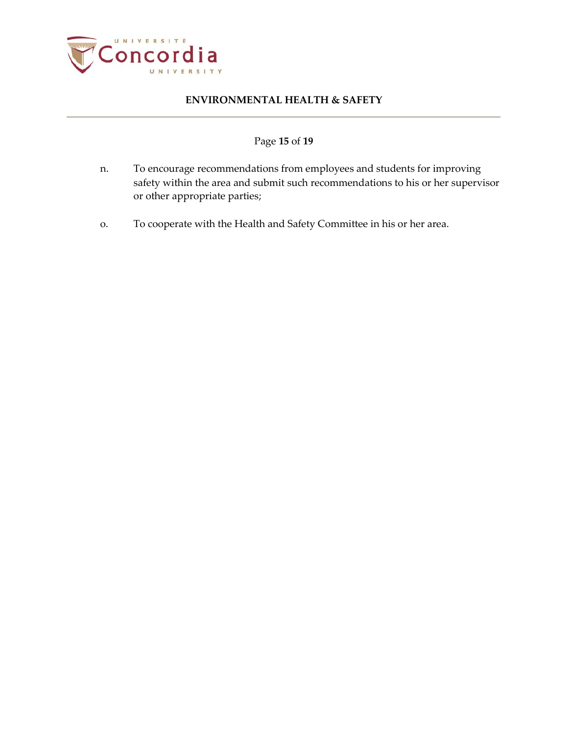

# Page **15** of **19**

- n. To encourage recommendations from employees and students for improving safety within the area and submit such recommendations to his or her supervisor or other appropriate parties;
- o. To cooperate with the Health and Safety Committee in his or her area.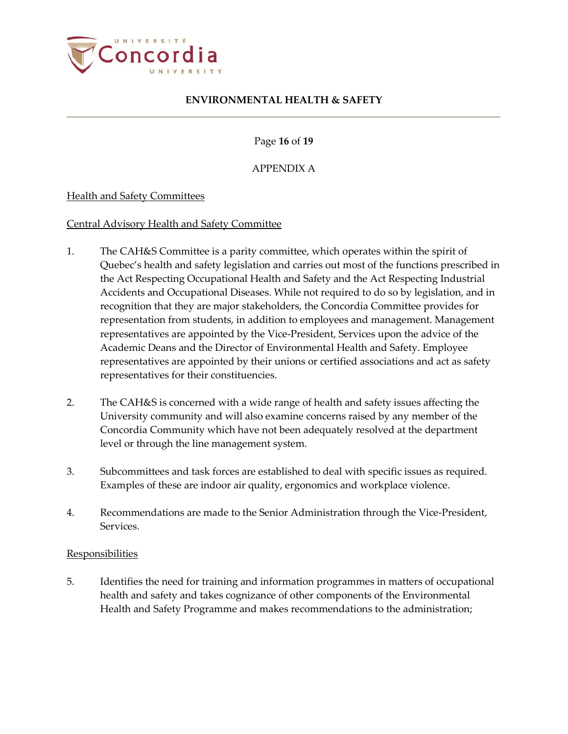

Page **16** of **19**

APPENDIX A

### Health and Safety Committees

### Central Advisory Health and Safety Committee

- 1. The CAH&S Committee is a parity committee, which operates within the spirit of Quebec's health and safety legislation and carries out most of the functions prescribed in the Act Respecting Occupational Health and Safety and the Act Respecting Industrial Accidents and Occupational Diseases. While not required to do so by legislation, and in recognition that they are major stakeholders, the Concordia Committee provides for representation from students, in addition to employees and management. Management representatives are appointed by the Vice-President, Services upon the advice of the Academic Deans and the Director of Environmental Health and Safety. Employee representatives are appointed by their unions or certified associations and act as safety representatives for their constituencies.
- 2. The CAH&S is concerned with a wide range of health and safety issues affecting the University community and will also examine concerns raised by any member of the Concordia Community which have not been adequately resolved at the department level or through the line management system.
- 3. Subcommittees and task forces are established to deal with specific issues as required. Examples of these are indoor air quality, ergonomics and workplace violence.
- 4. Recommendations are made to the Senior Administration through the Vice-President, Services.

### **Responsibilities**

5. Identifies the need for training and information programmes in matters of occupational health and safety and takes cognizance of other components of the Environmental Health and Safety Programme and makes recommendations to the administration;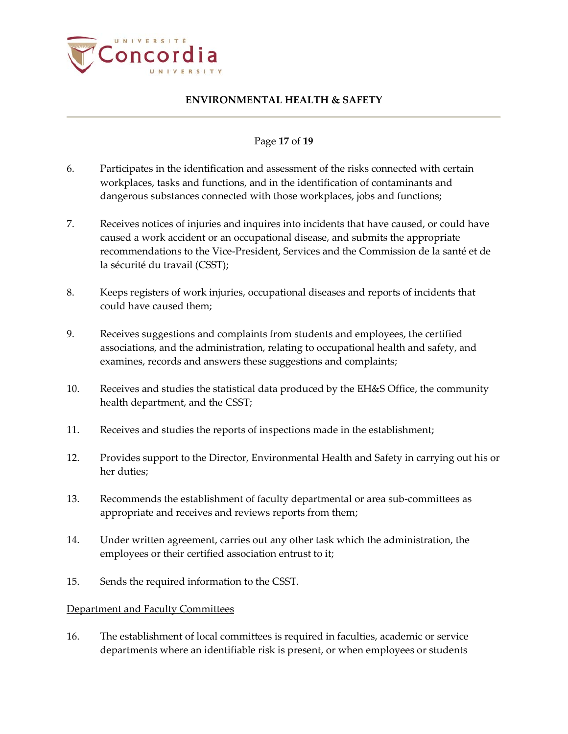

### Page **17** of **19**

- 6. Participates in the identification and assessment of the risks connected with certain workplaces, tasks and functions, and in the identification of contaminants and dangerous substances connected with those workplaces, jobs and functions;
- 7. Receives notices of injuries and inquires into incidents that have caused, or could have caused a work accident or an occupational disease, and submits the appropriate recommendations to the Vice-President, Services and the Commission de la santé et de la sécurité du travail (CSST);
- 8. Keeps registers of work injuries, occupational diseases and reports of incidents that could have caused them;
- 9. Receives suggestions and complaints from students and employees, the certified associations, and the administration, relating to occupational health and safety, and examines, records and answers these suggestions and complaints;
- 10. Receives and studies the statistical data produced by the EH&S Office, the community health department, and the CSST;
- 11. Receives and studies the reports of inspections made in the establishment;
- 12. Provides support to the Director, Environmental Health and Safety in carrying out his or her duties;
- 13. Recommends the establishment of faculty departmental or area sub-committees as appropriate and receives and reviews reports from them;
- 14. Under written agreement, carries out any other task which the administration, the employees or their certified association entrust to it;
- 15. Sends the required information to the CSST.

### Department and Faculty Committees

16. The establishment of local committees is required in faculties, academic or service departments where an identifiable risk is present, or when employees or students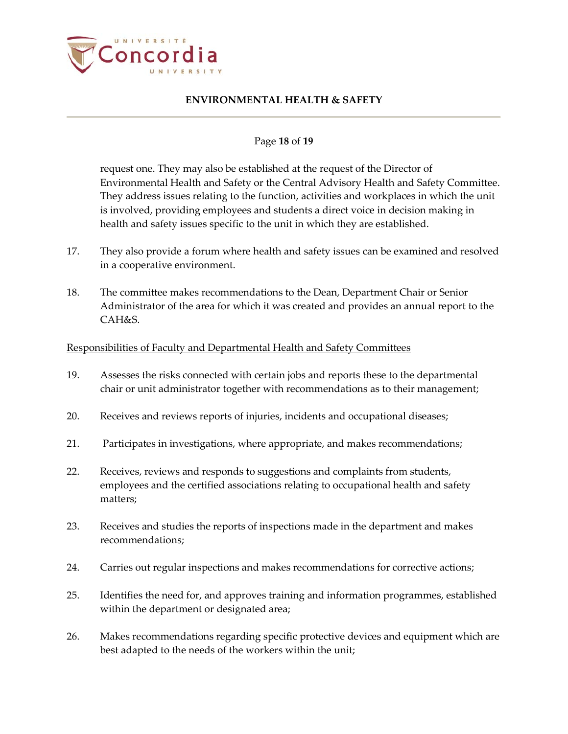

### Page **18** of **19**

request one. They may also be established at the request of the Director of Environmental Health and Safety or the Central Advisory Health and Safety Committee. They address issues relating to the function, activities and workplaces in which the unit is involved, providing employees and students a direct voice in decision making in health and safety issues specific to the unit in which they are established.

- 17. They also provide a forum where health and safety issues can be examined and resolved in a cooperative environment.
- 18. The committee makes recommendations to the Dean, Department Chair or Senior Administrator of the area for which it was created and provides an annual report to the CAH&S.

#### Responsibilities of Faculty and Departmental Health and Safety Committees

- 19. Assesses the risks connected with certain jobs and reports these to the departmental chair or unit administrator together with recommendations as to their management;
- 20. Receives and reviews reports of injuries, incidents and occupational diseases;
- 21. Participates in investigations, where appropriate, and makes recommendations;
- 22. Receives, reviews and responds to suggestions and complaints from students, employees and the certified associations relating to occupational health and safety matters;
- 23. Receives and studies the reports of inspections made in the department and makes recommendations;
- 24. Carries out regular inspections and makes recommendations for corrective actions;
- 25. Identifies the need for, and approves training and information programmes, established within the department or designated area;
- 26. Makes recommendations regarding specific protective devices and equipment which are best adapted to the needs of the workers within the unit;